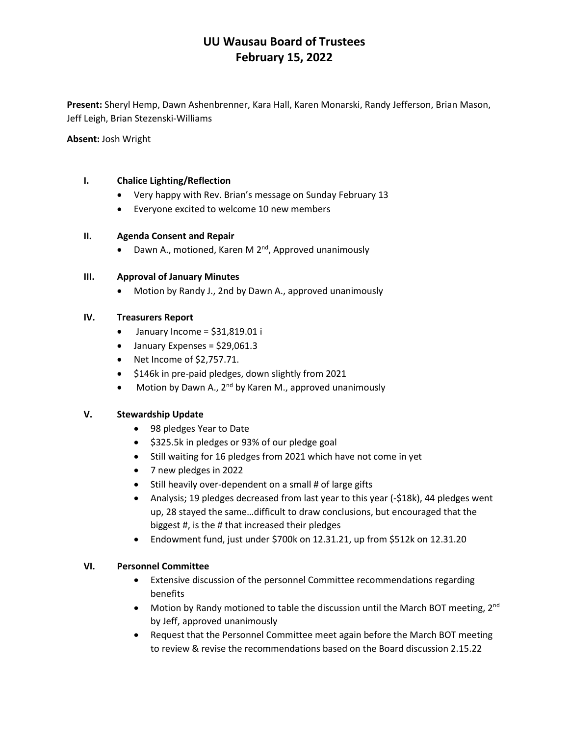# **UU Wausau Board of Trustees February 15, 2022**

**Present:** Sheryl Hemp, Dawn Ashenbrenner, Kara Hall, Karen Monarski, Randy Jefferson, Brian Mason, Jeff Leigh, Brian Stezenski-Williams

**Absent:** Josh Wright

## **I. Chalice Lighting/Reflection**

- Very happy with Rev. Brian's message on Sunday February 13
- Everyone excited to welcome 10 new members

## **II. Agenda Consent and Repair**

• Dawn A., motioned, Karen M 2<sup>nd</sup>, Approved unanimously

### **III. Approval of January Minutes**

• Motion by Randy J., 2nd by Dawn A., approved unanimously

## **IV. Treasurers Report**

- $\bullet$  January Income = \$31,819.01 i
- January Expenses = \$29,061.3
- Net Income of \$2,757.71.
- \$146k in pre-paid pledges, down slightly from 2021
- Motion by Dawn A., 2<sup>nd</sup> by Karen M., approved unanimously

#### **V. Stewardship Update**

- 98 pledges Year to Date
- \$325.5k in pledges or 93% of our pledge goal
- Still waiting for 16 pledges from 2021 which have not come in yet
- 7 new pledges in 2022
- Still heavily over-dependent on a small # of large gifts
- Analysis; 19 pledges decreased from last year to this year (-\$18k), 44 pledges went up, 28 stayed the same…difficult to draw conclusions, but encouraged that the biggest #, is the # that increased their pledges
- Endowment fund, just under \$700k on 12.31.21, up from \$512k on 12.31.20

#### **VI. Personnel Committee**

- Extensive discussion of the personnel Committee recommendations regarding benefits
- Motion by Randy motioned to table the discussion until the March BOT meeting,  $2^{nd}$ by Jeff, approved unanimously
- Request that the Personnel Committee meet again before the March BOT meeting to review & revise the recommendations based on the Board discussion 2.15.22